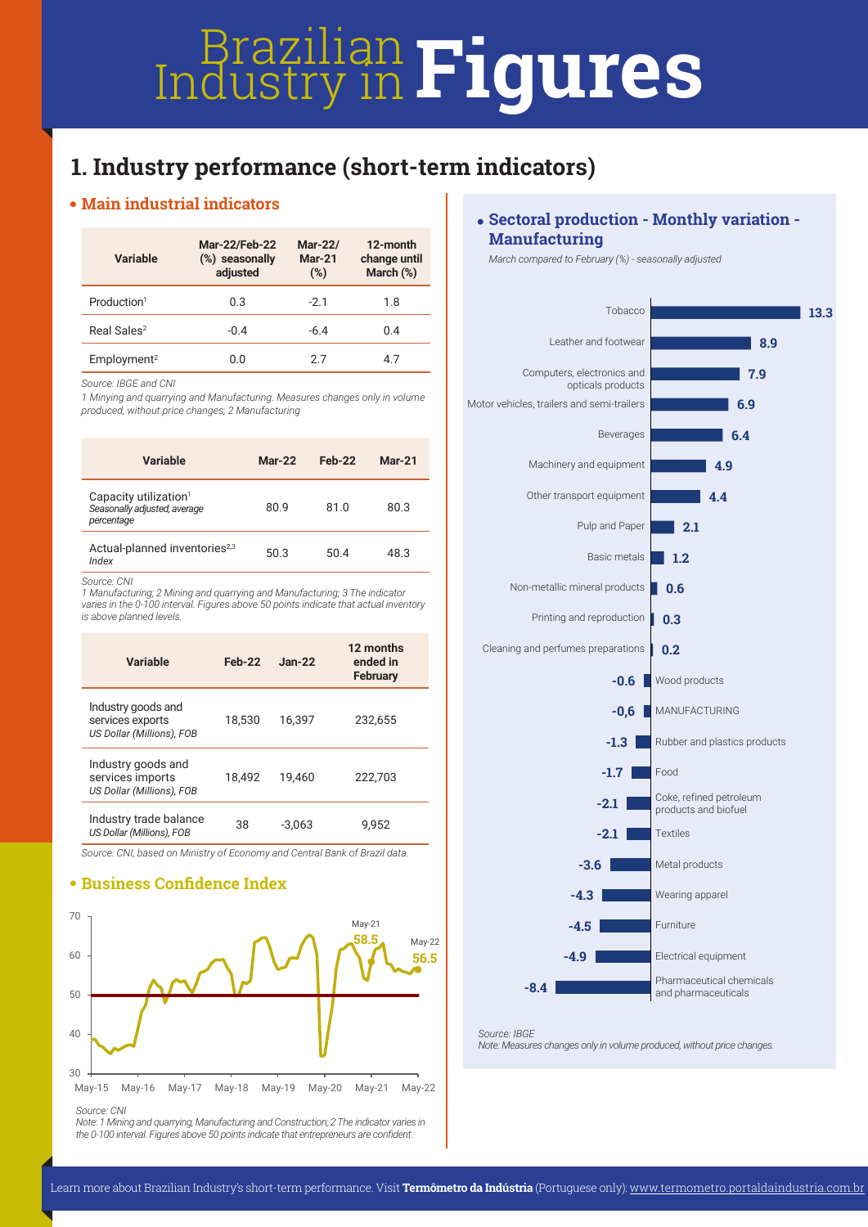# **Industry in Figures**

# **1. Industry performance (short-term indicators)**

## **Main industrial indicators**

| Variable                | <b>Mar-22/Feb-22</b><br>(%) seasonally<br>adjusted | Mar-22/<br>$Mar-21$<br>(%) |     |
|-------------------------|----------------------------------------------------|----------------------------|-----|
| Production <sup>1</sup> | 0.3                                                | $-2.1$                     | 1.8 |
| Real Sales <sup>2</sup> | $-0.4$                                             | $-6.4$                     | 0.4 |
| Employment <sup>2</sup> | 0.0                                                | 27                         | 4.7 |

*Source: IBGE and CNI*

*1 Minying and quarrying and Manufacturing. Measures changes only in volume produced, without price changes; 2 Manufacturing*

| Variable                                                                        | $Mar-22$ | $Feb-22$ | $Mar-21$ |
|---------------------------------------------------------------------------------|----------|----------|----------|
| Capacity utilization <sup>1</sup><br>Seasonally adjusted, average<br>percentage | 80.9     | 81.0     | 80.3     |
| Actual-planned inventories <sup>2,3</sup><br>Index                              | 50.3     | 50.4     | 48.3     |

*Source: CNI* 

*1 Manufacturing; 2 Mining and quarrying and Manufacturing; 3 The indicator varies in the 0-100 interval. Figures above 50 points indicate that actual inventory is above planned levels.*

| Variable                                                            | $Feb-22$ | $Jan-22$ | 12 months<br>ended in<br>February |
|---------------------------------------------------------------------|----------|----------|-----------------------------------|
| Industry goods and<br>services exports<br>US Dollar (Millions), FOB | 18.530   | 16.397   | 232.655                           |
| Industry goods and<br>services imports<br>US Dollar (Millions), FOB | 18.492   | 19.460   | 222.703                           |
| Industry trade balance<br>US Dollar (Millions), FOB                 | 38       | $-3.063$ | 9.952                             |

*Source: CNI, based on Ministry of Economy and Central Bank of Brazil data.*

## **Business Confidence Index**



*Source: CNI*

*Note: 1 Mining and quarrying, Manufacturing and Construction; 2 The indicator varies in the 0-100 interval. Figures above 50 points indicate that entrepreneurs are confident.*

### **Sectoral production - Monthly variation - Manufacturing**

*March compared to February (%) - seasonally adjusted*



*Source: IBGE Note: Measures changes only in volume produced, without price changes.*